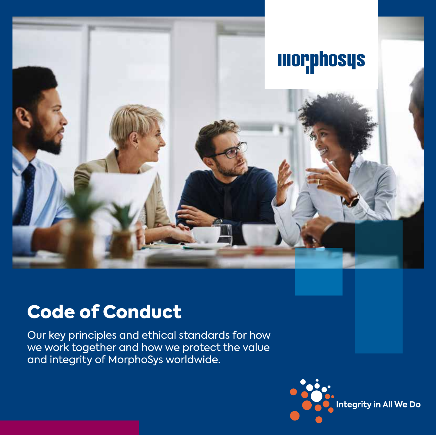

## Code of Conduct

Our key principles and ethical standards for how we work together and how we protect the value and integrity of MorphoSys worldwide.

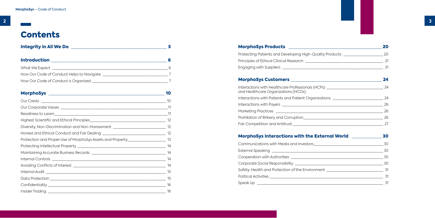## **Contents**

| <b>Integrity in All We Do</b>             |   |
|-------------------------------------------|---|
| <b>Introduction</b>                       |   |
| What We Expect __                         | 6 |
| How Our Code of Conduct Helps to Navigate |   |
| How Our Code of Conduct is Organized      |   |

### MorphoSys [\\_\\_\\_\\_\\_\\_\\_\\_\\_\\_\\_\\_\\_\\_\\_\\_\\_\\_\\_\\_\\_\\_\\_\\_\\_\\_\\_\\_\\_\\_\\_\\_\\_\\_\\_\\_\\_\\_\\_\\_\\_\\_\\_\\_\\_\\_](#page-5-0) 10 Our Credo and the contract of the contract of the contract of the contract of the contract of the contract of the contract of the contract of the contract of the contract of the contract of the contract of the contract of Our Corporate Values and the set of the set of the set of the set of the set of the set of the set of the set o Readiness to Learn  $\qquad \qquad$  11 [Highest Scientific and Ethical Principles\\_\\_\\_\\_\\_\\_\\_\\_\\_\\_\\_\\_\\_\\_\\_\\_\\_\\_\\_\\_\\_\\_\\_\\_\\_\\_\\_\\_\\_\\_\\_\\_\\_\\_\\_\\_](#page-6-0) 12 [Diversity, Non-Discrimination and Non-Harassment \\_\\_\\_\\_\\_\\_\\_\\_\\_\\_\\_\\_\\_\\_\\_\\_\\_\\_\\_\\_\\_\\_\\_\\_\\_](#page-6-0)\_\_\_\_\_ 12 [Honest and Ethical Conduct and Fair Dealing](#page-6-0) \_\_\_\_\_\_\_\_\_\_\_\_\_\_\_\_\_\_\_\_\_\_\_\_\_\_\_\_\_\_ 12 [Protection and Proper Use of MorphoSys Assets and Property\\_\\_\\_\\_\\_\\_\\_\\_\\_\\_\\_\\_\\_\\_\\_\\_\\_\\_](#page-6-0)\_ 13 [Protecting Intellectual Property \\_\\_\\_\\_\\_\\_\\_\\_\\_\\_\\_\\_\\_\\_\\_\\_\\_\\_\\_\\_\\_\\_\\_\\_\\_\\_\\_\\_\\_\\_\\_\\_\\_\\_\\_\\_\\_\\_\\_\\_\\_\\_](#page-7-0) 14 Maintaining Accurate Business Records **Exercise 14** Internal Controls **Executive 14** Avoiding Conflicts of Interest [\\_\\_\\_\\_\\_\\_\\_\\_\\_\\_\\_\\_\\_\\_\\_\\_\\_\\_\\_\\_\\_\\_\\_\\_\\_\\_\\_\\_\\_\\_\\_\\_\\_\\_\\_\\_\\_\\_\\_\\_\\_\\_\\_\\_](#page-7-0) 14 Internal Audit 2008 and 2008 and 2008 and 2008 and 2008 and 2008 and 2008 and 2008 and 2008 and 2008 and 2008 [Data Protection \\_\\_\\_\\_\\_\\_\\_\\_\\_\\_\\_\\_\\_\\_\\_\\_\\_\\_\\_\\_\\_\\_\\_\\_\\_\\_\\_\\_\\_\\_\\_\\_\\_\\_\\_\\_\\_\\_\\_\\_\\_\\_\\_\\_\\_\\_\\_\\_\\_\\_\\_\\_\\_\\_\\_](#page-7-0) 15 [Confidentiality \\_\\_\\_\\_\\_\\_\\_\\_\\_\\_\\_\\_\\_\\_\\_\\_\\_\\_\\_\\_\\_\\_\\_\\_\\_\\_\\_\\_\\_\\_\\_\\_\\_\\_\\_\\_\\_\\_\\_\\_\\_\\_\\_\\_\\_\\_\\_\\_\\_\\_\\_\\_\\_\\_\\_\\_](#page-8-0) 16 [Insider Trading \\_\\_\\_\\_\\_\\_\\_\\_\\_\\_\\_\\_\\_\\_\\_\\_\\_\\_\\_\\_\\_\\_\\_\\_\\_\\_\\_\\_\\_\\_\\_\\_\\_\\_\\_\\_\\_\\_\\_\\_\\_\\_\\_\\_\\_\\_\\_\\_\\_\\_\\_\\_\\_\\_\\_\\_](#page-8-0) 16

#### MorphoSys Products **Exercises**

| Protecting Patients and Developing High-Quality Products |  |
|----------------------------------------------------------|--|
| Principles of Ethical Clinical Research                  |  |
| <b>Engaging with Suppliers</b>                           |  |

#### MorphoSys Customers [\\_\\_\\_\\_\\_\\_\\_\\_\\_\\_\\_\\_\\_\\_\\_\\_\\_\\_\\_\\_\\_\\_\\_\\_\\_\\_\\_\\_\\_\\_\\_\\_\\_\\_\\_\\_](#page-12-0) 24

| and Healthcare Organizations (HCOs)         | Interactions with Healthcare Professionals (HCPs) _________________                                                                                                                                                            | 24 |
|---------------------------------------------|--------------------------------------------------------------------------------------------------------------------------------------------------------------------------------------------------------------------------------|----|
|                                             | Interactions with Patients and Patient Organizations [188] [188] [188] [188] [188] [188] [188] [188] [188] [188] [188] [188] [188] [188] [188] [188] [188] [188] [188] [188] [188] [188] [188] [188] [188] [188] [188] [188] [ | 24 |
|                                             |                                                                                                                                                                                                                                | 26 |
|                                             |                                                                                                                                                                                                                                | 26 |
| Prohibition of Bribery and Corruption       |                                                                                                                                                                                                                                | 26 |
| Fair Competition and Antitrust ____________ |                                                                                                                                                                                                                                |    |
|                                             |                                                                                                                                                                                                                                |    |

#### MorphoSys Interactions with the Extern

|                                                                                  | 30  |
|----------------------------------------------------------------------------------|-----|
|                                                                                  | 30  |
|                                                                                  | 30  |
|                                                                                  | 30  |
| Safety, Health and Protection of the Environment _______________________________ | -31 |
|                                                                                  | 31  |
| Speak Up                                                                         | 31  |

|        | 20 |
|--------|----|
| oducts | 20 |
|        |    |
|        |    |

| <u>al World and Book and the Second Second Book and Second Book and Second Book and Second Book and Second Book a</u> | 30                       |
|-----------------------------------------------------------------------------------------------------------------------|--------------------------|
|                                                                                                                       | 30                       |
|                                                                                                                       | $\frac{1}{\sqrt{10}}$ 30 |
|                                                                                                                       | 30                       |
|                                                                                                                       | 30                       |
|                                                                                                                       | 31                       |
|                                                                                                                       | 31                       |
|                                                                                                                       | 31                       |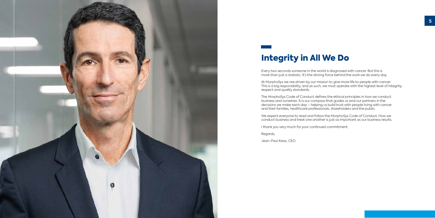<span id="page-2-0"></span>

## Integrity in All We Do

Every two seconds someone in the world is diagnosed with cancer. But this is more than just a statistic. It's the driving force behind the work we do every day.

At MorphoSys we are driven by our mission to give more life to people with cancer. This is a big responsibility, and as such, we must operate with the highest level of integrity, respect and quality standards.

The MorphoSys Code of Conduct defines the ethical principles in how we conduct business and ourselves. It is our compass that guides us and our partners in the decisions we make each day – helping us build trust with people living with cancer and their families, healthcare professionals, shareholders and the public.

We expect everyone to read and follow the MorphoSys Code of Conduct. How we conduct business and treat one another is just as important as our business results.

I thank you very much for your continued commitment.

Regards,

Jean-Paul Kress, CEO

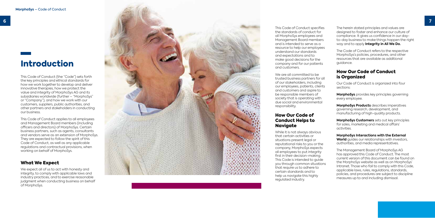## <span id="page-3-0"></span>Introduction

This Code of Conduct (the "Code") sets forth the key principles and ethical standards for how we work together to develop and deliver innovative therapies, how we protect the value and integrity of MorphoSys AG and its subsidiaries worldwide (further – "MorphoSys" or "Company"), and how we work with our customers, suppliers, public authorities, and other partners and stakeholders in conducting our business.

This Code of Conduct applies to all employees and Management Board members (including officers and directors) of MorphoSys. Certain business partners, such as agents, consultants and vendors serve as an extension of MorphoSys. They are expected to follow the spirit of this Code of Conduct, as well as any applicable regulations and contractual provisions, when working on behalf of MorphoSys.

#### How Our Code of Conduct Helps to **Naviaate**

#### What We Expect

We expect all of us to act with honesty and integrity, to comply with applicable laws and industry practices, and to exercise reasonable judgment when conducting business on behalf of MorphoSys.



This Code of Conduct specifies the standards of conduct for all MorphoSys employees and Management Board members and is intended to serve as a resource to help our employees understand our standards and expectations and to make good decisions for the company and for our patients and customers.

We are all committed to be trusted business partners for all of our stakeholders, including our employees, patients, clients and customers and aspire to be responsible members of society that is operating with due social and environmental responsibility.

While it is not always obvious that certain activities or situations present legal or reputational risks to you or the company, MorphoSys expects all employees to put integrity first in their decision-making. This Code is intended to guide you through common situations that require us to adhere to certain standards and to help us navigate this highly regulated industry.

The herein stated principles and values are designed to foster and enhance our culture of compliance. It gives us confidence in our dayto-day business to make things happen the right way and to apply **Integrity in All We Do.**

The Code of Conduct refers to the respective MorphoSys's policies, procedures, and other resources that are available as additional guidance.

#### How Our Code of Conduct is Organized

Our Code of Conduct is organized into four sections:

**MorphoSys** provides key principles governing every employee.

**MorphoSys Products** describes imperatives governing research, development, and manufacturing of high-quality products.

**MorphoSys Customers** sets out key principles for sales, marketing and medical affairs' activities.

**MorphoSys Interactions with the External World** guides our relationships with investors, authorities, and media representatives.

The Management Board of MorphoSys AG has approved this Code of Conduct. The most current version of this document can be found on the MorphoSys website as well as on MorphoSys' Intranet. Those who fail to comply with this Code, applicable laws, rules, regulations, standards, policies, and procedures are subject to discipline measures up to and including dismissal.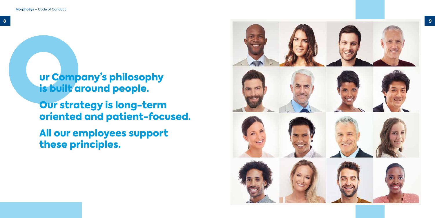ur Company's philosophy is built around people.

Our strategy is long-term oriented and patient-focused.

All our employees support these principles.

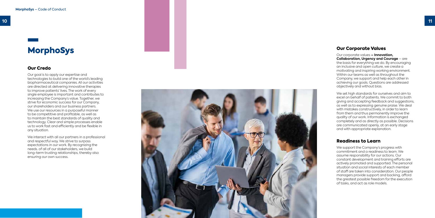## <span id="page-5-0"></span>MorphoSys

#### Our Credo

Our goal is to apply our expertise and technologies to build one of the world's leading biopharmaceutical companies. All our activities are directed at delivering innovative therapies to improve patients' lives. The work of every single employee is important and contributes to increasing the Company's value. Together, we strive for economic success for our Company, our shareholders and our business partners. We use our resources in a purposeful manner to be competitive and profitable, as well as to maintain the best standards of quality and technology. Clear and simple processes enable us to work fast and efficiently and be flexible in any situation.

We interact with all our partners in a professional and respectful way. We strive to surpass expectations in our work. By recognizing the needs. of all of our stakeholders, we build long-term trusting relationships, thereby also ensuring our own success.



#### Our Corporate Values

Our corporate values **– Innovation, Collaboration, Urgency and Courage** – are the basis for everything we do. By encouraging an inclusive and open culture, we create a motivating and inspiring working environment. Within our teams as well as throughout the Company, we support and help each other in achieving our goals. Questions are addressed objectively and without bias.

We set high standards for ourselves and aim to excel on behalf of patients. We commit to both giving and accepting feedback and suggestions, as well as to expressing genuine praise. We deal with mistakes constructively, in order to learn from them and thus permanently improve the quality of our work. Information is exchanged completely and as directly as possible. Decisions are communicated openly, at an early stage and with appropriate explanation.

#### Readiness to Learn

We support the Company's progress with commitment and a readiness to learn. We assume responsibility for our actions. Our constant development and training efforts are actively promoted and supported. The personal situation and social interests of each member of staff are taken into consideration. Our people managers provide support and backing, afford the greatest possible freedom for the execution of tasks, and act as role models.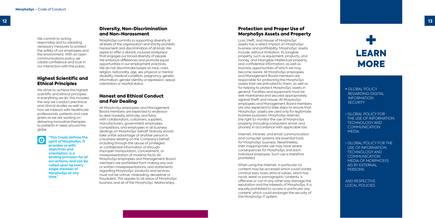<span id="page-6-0"></span>We commit to acting responsibly and to adopting necessary measures to protect the safety of our employees and the environment. With an open communications policy, we create confidence and trust in our interaction with the public.

#### Highest Scientific and Ethical Principles

We strive to achieve the highest scientific and ethical principles in everything we do: this includes the way we conduct preclinical and clinical studies as well as how we interact with healthcare professionals, patients and care givers as we are working on delivering innovative therapies to patients in need around the globe.



**"This Credo defines the spirit of MorphoSys. It provides us with objectives and orientation, is a binding provision for all our actions, and can be called upon by every single member of MorphoSys at any time."**

#### Protection and Proper Use of MorphoSys Assets and Property

Internet, intranet, and email communication and computer systems are essential tools for MorphoSys' business. Nevertheless, their inappropriate use may have severe consequences for MorphoSys and each individual employee. Such use is therefore prohibited.

- GLOBAL POLICY REGARDING DIGITAL INFORMATION **SECURITY**
- GLOBAL POLICY FOR THE USE OF INFORMATION TECHNOLOGY AND **COMMUNICATION MEDIA**
- GLOBAL POLICY FOR THE USE OF INFORMATION TECHNOLOGY AND **COMMUNICATION** MEDIA OF MORPHOSYS AG BY EXTERNAL **PERSONS** LOCAL POLICY<br>
REGARDING DIG<br>
REGARDING DIG<br>
INFORMATION<br>
SECURITY<br>
CLOBAL POLICY<br>
THE USE OF INFO<br>
TECHNOLOGY A<br>
COMMUNICATIC<br>
MEDIA<br>
CLOBAL POLICY<br>
USE OF INFORM<br>
TECHNOLOGY A<br>
COMMUNICATIC<br>
MEDIA OF MORP<br>
AG BY EXTERNAL<br>

Loss, theft, and misuse of MorphoSys' assets has a direct impact on MorphoSys' business and profitability. MorphoSys' assets include, without limitation, its tangible property, such as equipment, products, and money, and intangible intellectual property and confidential information, as well as business opportunities of which we may become aware. All MorphoSys employees and Management Board members are responsible for protecting the MorphoSys' assets that are entrusted to them, as well as for helping to protect MorphoSys' assets in general. Facilities and equipment must be well maintained and secured appropriately against theft and misuse. All MorphoSys employees and Management Board members are also expected to take steps to ensure that MorphoSys' assets are used only for legitimate business purposes. MorphoSys reserves the right to monitor the use of MorphoSys property (including computers, email, and phones) in accordance with applicable law.

When using the Internet, in particular no content may be accessed which could violate criminal laws, basic ethical values, which has racist, sexist or pornographic contents, is offensive or can in any other way damage the reputation and the interests of MorphoSys. It is equally prohibited to access in particular any content, which could endanger the security of the MorphoSys IT system.

AND RESPECTIVE



#### Diversity, Non-Discrimination and Non-Harassment

MorphoSys commits to supporting diversity at all levels of the organization and strictly prohibits harassment and discrimination of all kinds. We aspire to offer a vibrant, inclusive workplace that engages our broad diversity of people. We embrace differences and promote equal opportunities in our employment practices. We do not discriminate based on race, color, religion, nationality, age, sex, physical or mental disability, medical condition, pregnancy, genetic information, gender identity or expression, sexual orientation or marital status.

#### Honest and Ethical Conduct and Fair Dealing

All MorphoSys employees and Management Board members are expected to endeavor to deal honestly, ethically, and fairly with collaborators, customers, suppliers, manufacturers, government employees, competitors, and employees in all business dealings on MorphoSys' behalf. Nobody should take unfair advantage of another person in a business dealing on the Company's behalf, including through the abuse of privileged or confidential information or through improper manipulation, concealment, or misrepresentation of material facts. All MorphoSys employees and Management Board members are prohibited from making any oral or written misrepresentations, and statements regarding MorphoSys' products and services must not be untrue, misleading, deceptive or fraudulent. This applies to all areas of MorphoSys' business and all of the MorphoSys' relationships.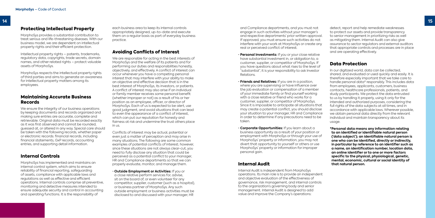#### <span id="page-7-0"></span>Protecting Intellectual Property

MorphoSys provides a substantial contribution to treat serious and life-threatening diseases. With our business model, we are dependent on intellectual property rights and their efficient protection.

Intellectual property rights – patents, trademarks, regulatory data, copyrights, trade secrets, domain names, and other related rights – protect valuable assets of MorphoSys.

MorphoSys respects the intellectual property rights of third parties and aims to generate an awareness for intellectual property matters among its employees.

We ensure the integrity of our business operations by keeping documents and records organized and making sure entries are accurate, complete and retrievable. Original data must be recorded exactly as it was first observed and cannot be rounded, guessed at, or altered in any way. Special care should be taken with the following records, whether paper or electronic records: financial records, including financial statements, GxP records, accounting entries, and supporting detail information.

#### Maintaining Accurate Business Records

We are responsible for acting in the best interests of MorphoSys and the welfare of its patients and for performing our duties and responsibilities honestly, objectively, and effectively. A conflict of interest can occur whenever you have a competing personal interest that may interfere with your ability to make an objective and effective decision that is in the best interest of MorphoSys, its investors, or patients. A conflict of interest may also arise if an individual or family member receives some personal benefit (whether improper or not) as a result of his or her position as an employee, officer, or director of MorphoSys. Each of us is expected to be alert, use good judgment, and avoid situations that can lead to even the appearance of a conflict of interest, which can put our reputation for honesty and fairness at risk and undermine the trust others place  $in$   $\overline{u}$ 

#### Internal Controls

MorphoSys has implemented and maintains an internal control system, which aims to ensure reliability of financial reporting, safeguarding of assets, compliance with applicable laws and regulations as well as effective and efficient operations. Internal controls comprise all preventive, monitoring and detective measures intended to ensure adequate security and control in accounting and operating functions. It is the responsibility of

each business area to keep its internal controls appropriately designed, up-to-date and execute them on a regular basis as part of everyday business practice.

#### Avoiding Conflicts of Interest

Conflicts of interest may be actual, potential or even just a matter of perception and may arise in many situations. The following are some common examples of potential conflicts of interest; however, since these situations are not always clear-cut, you need to fully disclose any situation that could be perceived as a potential conflict to your manager, HR and Compliance departments so that we can properly evaluate, monitor, and manage them.

• **Outside Employment or Activities:** If you or a close relative perform services for, advise, sit on the board of, or even volunteer for any competitor, supplier, customer (such as a hospital), or business partner of MorphoSys. Any such outside employment or business activities must be disclosed to and discussed with your manager, HR

and Compliance departments, and you must not engage in such activities without your manager's and respective departments' prior written approval. If approved, you must ensure such activities do not interfere with your work at MorphoSys or create any real or perceived conflict of interest.

- **Personal Investments:** If you or your close relative have substantial investment in, or obligation to, a customer, supplier, or competitor of MorphoSys. If you have questions about what rises to the level of "substantial", it is your responsibility to ask Investor Relations.
- **Friends and Relatives:** If you are in a position, where you are supervising or have influence over the job evaluation or compensation of a member of your immediate family or find yourself working with a close relative or friend who works for a customer, supplier, or competitor of MorphoSys. Since it is impossible to anticipate all situations that may create a potential conflict, you should disclose your situation to your manager, HR and Compliance in order to determine if any precautions need to be taken.
- **Corporate Opportunities:** If you learn about a business opportunity as a result of your position or employment with MorphoSys or through your use of MorphoSys' property or information, you may not divert that opportunity to yourself or others or use MorphoSys' property or information for improper personal gain.

#### Internal Audit

Internal Audit is independent from MorphoSys operations. Its main role is to provide an independent and objective evaluation of the effectiveness of governance, risk management, and internal controls to the organization's governing body and senior management. Internal Audit is designed to add value and improve the Company's operations:

detect, report and help remediate weaknesses to protect our assets and provide transparency to senior management in prioritizing risks as well as mitigating them. Internal Audit can also give assurance to sector regulators and external auditors that appropriate controls and processes are in place and are operating effectively.

#### Data Protection

In our digitized world, data can be collected, shared, and evaluated or used quickly and easily. It is therefore especially important that we take care to handle personal data\* responsibly. This includes data from employees, applicants, customers, business contacts, healthcare professionals, patients, and study participants. We protect the data entrusted to us by handling it properly, using it only for the intended and authorized purposes, considering the full rights of the data subjects at all times, and in accordance with applicable laws. Wherever possible, we obtain personal data directly from the relevant individual and maintain transparency about its usage.

**\*Personal data means any information relating to an identified or identifiable natural person ('data subject'); an identifiable natural person is one who can be identified, directly or indirectly, in particular by reference to an identifier such as a name, an identification number, location data, an online identifier or to one or more factors specific to the physical, physiological, genetic, mental, economic, cultural or social identity of that natural person.**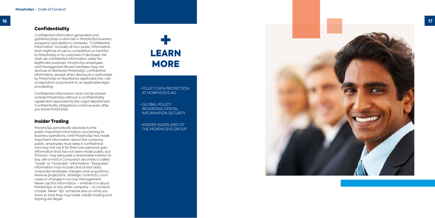<span id="page-8-0"></span>

#### **Confidentiality**

Confidential information generated and gathered plays a vital role in MorphoSys business, prospects and ability to compete. "Confidential information" includes all non-public information that might be of use to competitors or harmful to MorphoSys or its customers if disclosed. We shall use confidential information solely for legitimate purposes. MorphoSys employees and Management Board members may not disclose or distribute MorphoSys' confidential information, except when disclosure is authorized by MorphoSys or required by applicable law, rule or regulation or pursuant to an applicable legal proceeding.

Confidential information must not be shared outside MorphoSys without a confidentiality agreement approved by the Legal department. Confidentiality obligations continue even after you leave MorphoSys.

#### Insider Trading

MorphoSys periodically discloses to the public important information concerning its business operations. Until MorphoSys has made important information about the company public, employees must keep it confidential and may not use it for their own personal gain. Information that has not been made public, but if known, may persuade a reasonable investor to buy, sell or hold a Company's securities is called "inside" or "nonpublic" information. "Nonpublic" information may include clinical trial data, corporate strategies, mergers and acquisitions, revenue projections, strategic contracts, court cases or changes in our top management. Never use this information – whether it is about MorphoSys or any other company – to conduct a trade. Never "tip" someone else on what you know so that they may trade. Insider trading and tipping are illegal.

# THE MORPHOSYS AS<br>
THE MORPHOSYS AG<br>
SECRETION<br>
THE MORPHOSYS AG<br>
THE MORPHOSYS AG<br>
THE MORPHOSYS GROUP<br>
THE MORPHOSYS GROUP LEARN **MORE**

• POLICY DATA PROTECTION AT MORPHOSYS AG

• GLOBAL POLICY REGARDING DIGITAL INFORMATION SECURITY

• INSIDER GUIDELINES OF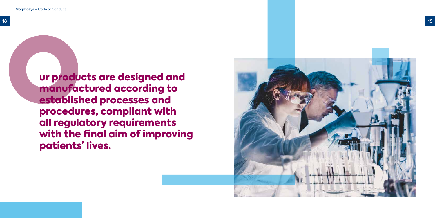ur products are designed and manufactured according to established processes and procedures, compliant with all regulatory requirements with the final aim of improving patients' lives.

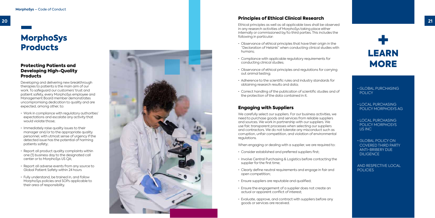## MorphoSys **Products**

#### Protecting Patients and Developing High-Quality **Products**

Developing and delivering new breakthrough therapies to patients is the main aim of our work. To safeguard our customers' trust and patient safety, every MorphoSys employee and Management Board member demonstrates uncompromising dedication to quality and are expected, among other, to: • Work in compliance with regulatory authorities'

<span id="page-10-0"></span>**20 21** Ethical principles as well as all applicable laws shall be observed in any research activities of MorphoSys taking place either internally or commissioned by/to third parties. This includes the following in particular:

- expectations and escalate any activity that would violate those;
- Immediately raise quality issues to their manager and/or to the appropriate quality personnel, with utmost sense of urgency if the detected issue has the potential of harming patients safety;
- Report all product quality complaints within one (1) business day to the designated call center or to MorphoSys US QA;
- Report all adverse events from any source to Global Patient Safety within 24 hours
- Fully understand, be trained in, and follow MorphoSys policies and SOPs applicable to their area of responsibility.



#### Principles of Ethical Clinical Research

• GLOBAL POLICY ON COVERED THIRD PARTY ANTI-BRIBERY DUE **DILIGENCE** 

AND RESPECTIVE LOCAL **POLICIES** 

- Observance of ethical principles that have their origin in the "Declaration of Helsinki" when conducting clinical studies with humans;
- Compliance with applicable regulatory requirements for conducting clinical studies;
- Observance of ethical principles and regulations for carrying out animal testing;
- Adherence to the scientific rules and industry standards for obtaining research results and data;
- Correct handling of the publication of scientific studies and of the protection of the data contained in it.

#### Engaging with Suppliers

We carefully select our suppliers. For our business activities, we need to purchase goods and services from reliable suppliers and sources. We work in partnership with our suppliers. We use fair, transparent processes when selecting our suppliers and contractors. We do not tolerate any misconduct such as corruption, unfair competition, and violation of environmental regulations.

When engaging or dealing with a supplier, we are required to:<br>• Consider established and preferred suppliers first;

- 
- Involve Central Purchasing & Logistics before contacting the supplier for the first time;
- Clearly define neutral requirements and engage in fair and open competition;
- 
- Ensure suppliers are reputable and qualified; Ensure the engagement of a supplier does not create an actual or apparent conflict of interest;
- Evaluate, approve, and contract with suppliers before any goods or services are received.

• GLOBAL PURCHASING POLICY

• LOCAL PURCHASING POLICY MORPHOSYS AG

• LOCAL PURCHASING POLICY MORPHOSYS US INC

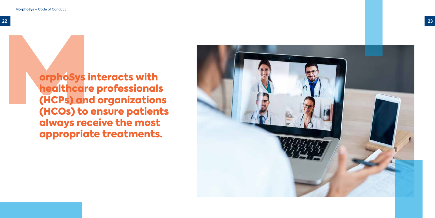

orphoSys interacts with healthcare professionals (HCPs) and organizations (HCOs) to ensure patients always receive the most appropriate treatments.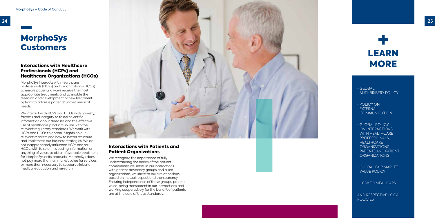<span id="page-12-0"></span>

 $\cdot$  GLOBAL ANTI-BRIBERY POLICY

- POLICY ON EXTERNAL **COMMUNICATION**
- GLOBAL POLICY ON INTERACTIONS WITH HEALTHCARE PROFESSIONALS. **HEALTHCARE** ORGANIZATIONS, PATIENTS AND PATIENT ORGANIZATIONS
- GLOBAL FAIR MARKET VALUE POLICY

## MorphoSys **Customers**

• HOW TO MEAL CAPS

AND RESPECTIVE LOCAL POLICIES



#### Interactions with Healthcare Professionals (HCPs) and Healthcare Organizations (HCOs)

MorphoSys interacts with healthcare professionals (HCPs) and organizations (HCOs) to ensure patients always receive the most appropriate treatments and to enable the research and development of new treatment options to address patients' unmet medical needs.

> We recognize the importance of fully understanding the needs of the patient communities we serve. In our interactions with patient advocacy groups and allied organizations, we strive to build relationships based on mutual respect and transparency. Ensuring independence of these groups' patient voice, being transparent in our interactions and working cooperatively for the benefit of patients are at the core of these standards.



We interact with HCPs and HCOs with honesty, fairness and integrity to foster scientific information about diseases and the effective use of healthcare products, in line with the relevant regulatory standards. We work with HCPs and HCOs to obtain insights on our relevant markets and how to better structure and implement our business strategies. We do not inappropriately influence HCPs and/or HCOs, with false or misleading information or anything of value, to obtain favorable treatment for MorphoSys or its products. MorphoSys does not pay more than fair market value for services or more than necessary to support clinical or medical education and research.

#### Interactions with Patients and Patient Organizations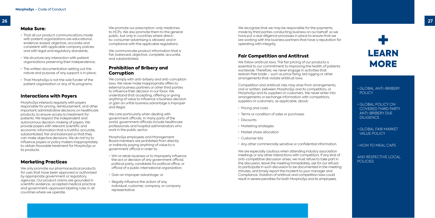#### <span id="page-13-0"></span>Make Sure:

- That all our product communications made with patient organizations are educational, evidence-based, objective, accurate and consistent with applicable company policies and with legal and regulatory standards;
- We structure any interaction with patient organizations preserving their independence;
- The written documentation setting out the nature and purpose of any support is in place;
- That MorphoSys is not the sole funder of the patient organization or any of its programs.

#### Interactions with Payers

We only promote our pharmaceutical products for uses that have been approved or authorized by appropriate government or regulatory agencies. Our product claims are grounded in scientific evidence, accepted medical practice and government-approved labeling rules in all countries where we operate.

MorphoSys interacts regularly with payers responsible for pricing, reimbursement, and other important administrative decisions on healthcare products, to ensure access to treatment for patients. We respect the independent and autonomous decision-making of payers. We provide payers with relevant scientific and economic information that is truthful, accurate, substantiated, fair and balanced so that they can make objective decisions. We do not try to influence payers or policy makers inappropriately to obtain favorable treatment for MorphoSys or its products.

We recognize that we may be responsible for the payments made by third parties conducting business on our behalf, so we have put a due diligence processes in place to ensure that we are working with the business partners that have a reputation for operating with integrity.

Competition and antitrust risks may arise from arrangements, oral or written, between MorphoSys and its competitors, or MorphoSys and its suppliers or customers. We never enter into arrangements or exchange information with competitors, suppliers or customers, as applicable, about:<br>• Pricina and costs

#### Marketing Practices

- 
- Terms or condition of sales or purchases
- Discounts
- 
- 
- 
- Marketing strategies<br>• Market share allocation<br>• Customer lists<br>• Any other commercially sensitive or confidential information.

We are especially cautious when attending industry association meetings or any other interactions with competitors. If any kind of anti-competitive discussion arises, we must refuse to take part in the discussion, leave the meeting immediately, ask for our refusal to participate in such discussion to be documented in the meeting minutes, and timely report the incident to your manager and Compliance. Violation of antitrust and competition laws could result in severe penalties for both MorphoSys and its employees.

AND RESPECTIVE LOCAL **POLICIES** 

We promote our prescription-only medicines to HCPs. We also promote them to the general public, but only in countries where directto-consumer advertising is allowed, and in compliance with the applicable regulations.

#### Fair Competition and Antitrust

We follow antitrust laws. The fair pricing of our products is essential to our commitment to improving the health of patients worldwide. Therefore, we never engage in activities that restrain free trade – such as price fixing, bid rigging or other arrangements that violate antitrust laws.

We care particularly when dealing with government officials. In many parts of the world, government officials include healthcare professionals and hospital administrators who work in the public sector.

- government official in order to:<br>• Win or retain business or to improperly influence the act or decision of any government official, political party, candidate for political office, or official of a public international organization;
- Gain an improper advantage; or<br>• Illeaally influence the action of any
- individual, customer, company, or company representative.

• GLOBAL ANTI-BRIBERY POLICY

- GLOBAL POLICY ON COVERED THIRD PARTY ANTI-BRIBERY DUE DILIGENCE
- GLOBAL FAIR MARKET VALUE POLICY

• HOW TO MEAL CAPS



We communicate product information that is fair, balanced, objective, complete, accurate, and substantiated.

#### Prohibition of Bribery and Corruption

We comply with anti-bribery and anti-corruption laws. We never make inappropriate offers to external business partners or other third parties to influence their decision in our favor. We understand that accepting, offering or giving anything of value to influence a business decision or gain an unfair business advantage is improper and illegal.

MorphoSys employees and Management Board members are prohibited from directly or indirectly paying anything of value to a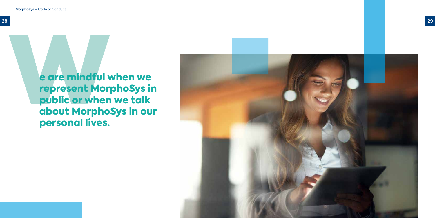

e are mindful when we represent MorphoSys in public or when we talk about MorphoSys in our personal lives.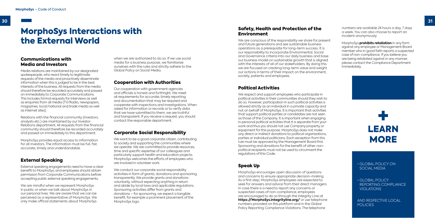#### • GLOBAL POLICY ON SOCIAL MEDIA

AND RESPECTIVE LOCAL POLICIES

• GLOBAL POLICY REPORTING COMPLIANCE VIOLATIONS



#### Communications with Media and Investors

Media relations are maintained by our designated spokespeople, who react timely to legitimate requests of the media and proactively disseminate information when this is judged to be in the best interests of the business. All requests from the media should therefore be recorded accurately and passed on immediately to Corporate Communications. This includes formal requests for interviews as well as enquiries from all media (TV/Radio, newspapers, magazines, local/national and trade media as well as internet sites).

Relations with the financial community (investors, analysts etc.) are maintained by our Investor Relations department. All requests from the financial community should therefore be recorded accurately and passed on immediately to this department.

MorphoSys provides equal access to information for all investors. The information must be full, fair, accurate, timely and understandable.

#### External Speaking

External speaking engagements need to have a clear benefit to MorphoSys, and employees should obtain permission from Corporate Communications before accepting public external speaking engagements.

We want to be a good corporate citizen, contributing to society and supporting the communities where we operate. We are committed to provide resources, time and specific expertise of our colleagues and particularly support health and education projects. MorphoSys welcomes the efforts of employees who are involved in volunteer work.

We are mindful when we represent MorphoSys in public or when we talk about MorphoSys in our personal lives. We are aware that we can be perceived as a representative of MorphoSys. We only make official statements about MorphoSys We conduct our corporate social responsibility activities in form of grants, donations and sponsoring transparently. We provide grants and donations voluntarily, without expecting anything in return and abide by local laws and applicable regulations. Sponsoring activities differ from grants and donations – for sponsoring, we expect a tangible benefit, for example a prominent placement of the MorphoSys logo.

when we are authorized to do so. If we use social media for a business purpose, we familiarize ourselves with the rules and strictly adhere to the Global Policy on Social Media.

#### Cooperation with Authorities

Our cooperation with government agencies and officials is honest and forthright. We meet all requirements for accurate, timely reporting and documentation that may be required and cooperate with inspections and investigations. When asked for information or records or to verify data that we have submitted to them, we are truthful and transparent. If you receive a request, you should contact the responsible department.

#### Corporate Social Responsibility

#### Safety, Health and Protection of the Environment

#### Political Activities

We respect and support employees who participate in political activities in their communities should they wish to do so. However, participation in such political activities is allowed strictly as an individual in a private capacity and not on behalf of MorphoSys. It is important that activities that support political parties or candidates are not seen as those of the Company. It is important when engaging in personal political activities that it is separate from your work and thus you should not use Company property or equipment for this purpose. MorphoSys does not make any direct or indirect donations to political organizations, parties or individual politicians. Each exception from this rule must be approved by the Management Board first. Sponsoring and donations for the benefit of other, nonpolitical recipients must not be used to circumvent the regulations of this Code.

We are conscious of the responsibility we share for present and future generations and see sustainable business operations as a prerequisite for long-term success. It is our responsibility to incorporate Environmental, Social and Governance criteria into our daily business and base our business model on sustainable growth that is aligned with the interests of all of our stakeholders. By doing this we are focused on creating long-term value and weight our actions in terms of their impact on the environment, society, patients and employees. MorphoSys **prohibits retaliation** in any form against any employee or Management Board member who in good faith reports a suspected case of non-compliance. If you believe you are being retaliated against in any manner, please contact the Compliance Department immediately.

#### Speak Up

MorphoSys encourages open discussion of questions and concerns to ensure appropriate decision-making. As a first step, MorphoSys employees are expected to seek for answers and advice from their direct managers. In case there is a need to report any concerns or suspected cases of non-compliance, employees are encouraged to do so through the Integrity Line at **<https://MorphoSys.integrityline.org/>** or use telephone numbers provided on this platform and in the Global Policy Reporting Compliance Violations. The telephone

## <span id="page-15-0"></span>MorphoSys Interactions with the External World

numbers are available 24 hours a day, 7 days a week. You can also choose to report an incident anonymously.